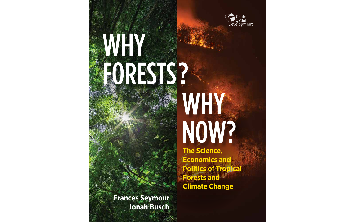

## WHY FORESTS?

# WHY NOW?

**The Science, Economics and Politics of Tropical Forests and Climate Change**

**Frances Seymour Jonah Busch**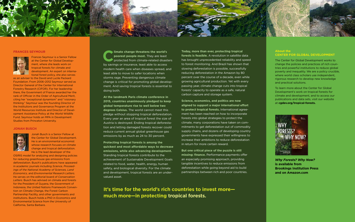**Climate change threatens the world's poorest people most.** They are least protected from climate-related disast **poorest people most.** They are least protected from climate-related disasters by savings or insurance, least able to access modern health care when diseases spread, and least able to move to safer locations when storms rage. Preventing dangerous climate change is critical for promoting global development. And saving tropical forests is essential to doing both.

**At the landmark Paris climate conference in 2015, countries unanimously pledged to keep global temperature rise to well below two degrees Celsius.** The world cannot meet this pledge without stopping tropical deforestation. Every year an area of tropical forest the size of Austria is destroyed. Ending tropical deforestation and letting damaged forests recover could reduce current annual global greenhouse gas emissions by as much as 24 to 30 percent.

**Protecting tropical forests is among the quickest and most affordable ways to decrease emissions, while also advancing development.** Standing tropical forests contribute to the achievement of Sustainable Development Goals related to food, water, health, energy, human safety, and biological diversity. For the climate and development, tropical forests are an undervalued asset.

**Today, more than ever, protecting tropical forests is feasible.** A revolution in satellite data has brought unprecedented reliability and speed to forest monitoring. And Brazil has shown that slowing deforestation is possible, successfully reducing deforestation in the Amazon by 80 percent over the course of a decade, even while growing agricultural production. Yet with every passing year, climate change cuts into tropical forests' capacity to operate as a safe, natural carbon capture and storage system.

**Science, economics, and politics are now aligned to support a major international effort to protect tropical forests.** International agreement has been reached on how to incorporate forests into global strategies to protect the climate, many corporations have taken on commitments to get deforestation out of commodity supply chains, and dozens of developing country governments have expressed their willingness to increase their ambitions to reduce deforestation in return for more certain reward.

**But one critical piece of the puzzle is still missing: finance.** Performance payments offer an especially promising approach, providing tangible incentives to reduce emissions from deforestation while going beyond aid to build partnerships between rich and poor countries.



### **FRANCES SEYMOUR**



Frances Seymour is a Senior Fellow at the Center for Global Development, where she leads work on tropical forests for climate and development. An expert on international forest policy, she also serves

as an adviser to the David and Lucile Packard Foundation. From 2006–2012 Seymour served as Director General of the Center for International Forestry Research (CIFOR). For her leadership there, the Government of France awarded her the rank of Officier in the Order of Agricultural Merit, citing her "exceptional dynamism" and "visionary thinking." Seymour was the founding Director of the Institutions and Governance Program at the World Resources Institute and Director of Development Assistance Policy at the World Wildlife Fund. Seymour holds an MPA in Development Studies from Princeton University.

### **JONAH BUSCH**



Jonah Busch is a Senior Fellow at the Center for Global Development. He is an environmental economist whose research focuses on climate change and tropical deforestation. He is the lead developer of the

OSIRIS model for analyzing and designing policies for reducing greenhouse gas emissions from deforestation. Busch's publications have appeared in academic journals including *Science, Proceedings of the National Academy of Sciences, Land Economics,* and *Environmental Research Letters.* He serves on the editorial board of *Conservation Letters.* Busch has advised on climate and forests for the President of Guyana, the Government of Indonesia, the United Nations Framework Convention on Climate Change, the Forest Carbon Partnership Facility, and other governments and institutions. Busch holds a PhD in Economics and Environmental Science from the University of California, Santa Barbara.

### **About the CENTER FOR GLOBAL DEVELOPMENT**

The Center for Global Development works to change the policies and practices of rich countries and powerful institutions to reduce global poverty and inequality. We are a policy crucible, where world class scholars use independent, rigorous research to develop new knowledge and practical solutions.

To learn more about the Center for Global Development's work on tropical forests for climate and development, and to access our publications and data sets, visit our website at **cgdev.org/tropical-forests.** 



*Why Forests? Why Now?* **is available from Brookings Institution Press and on Amazon.com**

**It's time for the world's rich countries to invest more much more—in protecting tropical forests.**